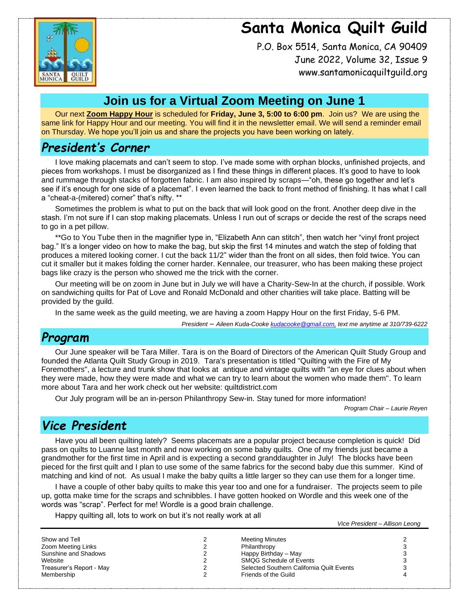# **Santa Monica Quilt Guild**



P.O. Box 5514, Santa Monica, CA 90409 June 2022, Volume 32, Issue 9 www.santamonicaquiltguild.org

### **Join us for a Virtual Zoom Meeting on June 1**

Our next **Zoom Happy Hour** is scheduled for **Friday, June 3, 5:00 to 6:00 pm**. Join us? We are using the same link for Happy Hour and our meeting. You will find it in the newsletter email. We will send a reminder email on Thursday. We hope you'll join us and share the projects you have been working on lately.

### *President's Corner*

I love making placemats and can't seem to stop. I've made some with orphan blocks, unfinished projects, and pieces from workshops. I must be disorganized as I find these things in different places. It's good to have to look and rummage through stacks of forgotten fabric. I am also inspired by scraps—"oh, these go together and let's see if it's enough for one side of a placemat". I even learned the back to front method of finishing. It has what I call a "cheat-a-(mitered) corner" that's nifty. \*\*

Sometimes the problem is what to put on the back that will look good on the front. Another deep dive in the stash. I'm not sure if I can stop making placemats. Unless I run out of scraps or decide the rest of the scraps need to go in a pet pillow.

\*\*Go to You Tube then in the magnifier type in, "Elizabeth Ann can stitch", then watch her "vinyl front project bag." It's a longer video on how to make the bag, but skip the first 14 minutes and watch the step of folding that produces a mitered looking corner. I cut the back 11/2" wider than the front on all sides, then fold twice. You can cut it smaller but it makes folding the corner harder. Kennalee, our treasurer, who has been making these project bags like crazy is the person who showed me the trick with the corner.

Our meeting will be on zoom in June but in July we will have a Charity-Sew-In at the church, if possible. Work on sandwiching quilts for Pat of Love and Ronald McDonald and other charities will take place. Batting will be provided by the guild.

In the same week as the guild meeting, we are having a zoom Happy Hour on the first Friday, 5-6 PM.

*President – Aileen Kuda-Cook[e kudacooke@gmail.com,](mailto:kudacooke@gmail.com) text me anytime at 310/739-6222*

### *Program*

Our June speaker will be Tara Miller. Tara is on the Board of Directors of the American Quilt Study Group and founded the Atlanta Quilt Study Group in 2019. Tara's presentation is titled "Quilting with the Fire of My Foremothers", a lecture and trunk show that looks at antique and vintage quilts with "an eye for clues about when they were made, how they were made and what we can try to learn about the women who made them". To learn more about Tara and her work check out her website: quiltdistrict.com

Our July program will be an in-person Philanthropy Sew-in. Stay tuned for more information!

*Program Chair – Laurie Reyen*

### *Vice President*

Have you all been quilting lately? Seems placemats are a popular project because completion is quick! Did pass on quilts to Luanne last month and now working on some baby quilts. One of my friends just became a grandmother for the first time in April and is expecting a second granddaughter in July! The blocks have been pieced for the first quilt and I plan to use some of the same fabrics for the second baby due this summer. Kind of matching and kind of not. As usual I make the baby quilts a little larger so they can use them for a longer time.

I have a couple of other baby quilts to make this year too and one for a fundraiser. The projects seem to pile up, gotta make time for the scraps and schnibbles. I have gotten hooked on Wordle and this week one of the words was "scrap". Perfect for me! Wordle is a good brain challenge.

Happy quilting all, lots to work on but it's not really work at all

*Vice President – Allison Leong*

| Show and Tell            |   | <b>Meeting Minutes</b>                    |  |
|--------------------------|---|-------------------------------------------|--|
| Zoom Meeting Links       | ∼ | Philanthropy                              |  |
| Sunshine and Shadows     |   | Happy Birthday - May                      |  |
| Website                  | ∼ | <b>SMQG Schedule of Events</b>            |  |
| Treasurer's Report - May |   | Selected Southern California Quilt Events |  |
| Membership               |   | Friends of the Guild                      |  |
|                          |   |                                           |  |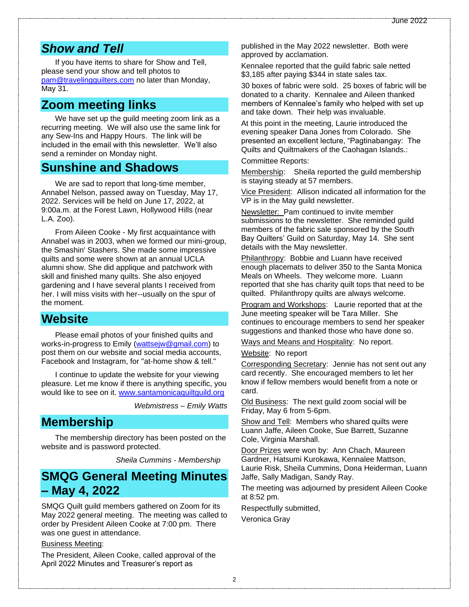#### *Show and Tell*

If you have items to share for Show and Tell, please send your show and tell photos to [pam@travelingquilters.com](mailto:pam@travelingquilters.com) no later than Monday, May 31.

#### **Zoom meeting links**

We have set up the guild meeting zoom link as a recurring meeting. We will also use the same link for any Sew-Ins and Happy Hours. The link will be included in the email with this newsletter. We'll also send a reminder on Monday night.

#### **Sunshine and Shadows**

We are sad to report that long-time member, Annabel Nelson, passed away on Tuesday, May 17, 2022. Services will be held on June 17, 2022, at 9:00a.m. at the Forest Lawn, Hollywood Hills (near L.A. Zoo).

From Aileen Cooke - My first acquaintance with Annabel was in 2003, when we formed our mini-group, the Smashin' Stashers. She made some impressive quilts and some were shown at an annual UCLA alumni show. She did applique and patchwork with skill and finished many quilts. She also enjoyed gardening and I have several plants I received from her. I will miss visits with her--usually on the spur of the moment.

#### **Website**

Please email photos of your finished quilts and works-in-progress to Emily [\(wattsejw@gmail.com\)](mailto:wattsejw@gmail.com) to post them on our website and social media accounts, Facebook and Instagram, for "at-home show & tell."

I continue to update the website for your viewing pleasure. Let me know if there is anything specific, you would like to see on it. [www.santamonicaquiltguild.org](http://www.santamonicaquiltguild.org/)

*Webmistress – Emily Watts*

### **Membership**

The membership directory has been posted on the website and is password protected.

*Sheila Cummins - Membership*

### **SMQG General Meeting Minutes – May 4, 2022**

SMQG Quilt guild members gathered on Zoom for its May 2022 general meeting. The meeting was called to order by President Aileen Cooke at 7:00 pm. There was one guest in attendance.

#### Business Meeting:

The President, Aileen Cooke, called approval of the April 2022 Minutes and Treasurer's report as

published in the May 2022 newsletter. Both were approved by acclamation.

Kennalee reported that the guild fabric sale netted \$3,185 after paying \$344 in state sales tax.

30 boxes of fabric were sold. 25 boxes of fabric will be donated to a charity. Kennalee and Aileen thanked members of Kennalee's family who helped with set up and take down. Their help was invaluable.

At this point in the meeting, Laurie introduced the evening speaker Dana Jones from Colorado. She presented an excellent lecture, "Pagtinabangay: The Quilts and Quiltmakers of the Caohagan Islands.:

Committee Reports:

Membership: Sheila reported the guild membership is staying steady at 57 members.

Vice President: Allison indicated all information for the VP is in the May guild newsletter.

Newsletter: Pam continued to invite member submissions to the newsletter. She reminded guild members of the fabric sale sponsored by the South Bay Quilters' Guild on Saturday, May 14. She sent details with the May newsletter.

Philanthropy: Bobbie and Luann have received enough placemats to deliver 350 to the Santa Monica Meals on Wheels. They welcome more. Luann reported that she has charity quilt tops that need to be quilted. Philanthropy quilts are always welcome.

Program and Workshops: Laurie reported that at the June meeting speaker will be Tara Miller. She continues to encourage members to send her speaker suggestions and thanked those who have done so.

Ways and Means and Hospitality: No report.

Website: No report

Corresponding Secretary: Jennie has not sent out any card recently. She encouraged members to let her know if fellow members would benefit from a note or card.

Old Business: The next guild zoom social will be Friday, May 6 from 5-6pm.

Show and Tell: Members who shared quilts were Luann Jaffe, Aileen Cooke, Sue Barrett, Suzanne Cole, Virginia Marshall.

Door Prizes were won by: Ann Chach, Maureen Gardner, Hatsumi Kurokawa, Kennalee Mattson, Laurie Risk, Sheila Cummins, Dona Heiderman, Luann Jaffe, Sally Madigan, Sandy Ray.

The meeting was adjourned by president Aileen Cooke at 8:52 pm.

Respectfully submitted,

Veronica Gray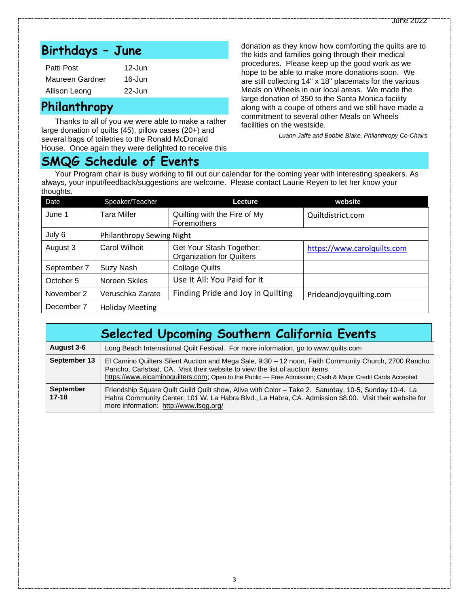## **Birthdays – June**

| Patti Post      | $12 -$ Jun |
|-----------------|------------|
| Maureen Gardner | $16 -$ Jun |
| Allison Leong   | $22 -$ Jun |

### **Philanthropy**

Thanks to all of you we were able to make a rather large donation of quilts (45), pillow cases (20+) and several bags of toiletries to the Ronald McDonald House. Once again they were delighted to receive this

### **SMQG Schedule of Events**

donation as they know how comforting the quilts are to the kids and families going through their medical procedures. Please keep up the good work as we hope to be able to make more donations soon. We are still collecting 14" x 18" placemats for the various Meals on Wheels in our local areas. We made the large donation of 350 to the Santa Monica facility along with a coupe of others and we still have made a commitment to several other Meals on Wheels facilities on the westside.

*Luann Jaffe and Bobbie Blake, Philanthropy Co-Chairs*

Your Program chair is busy working to fill out our calendar for the coming year with interesting speakers. As always, your input/feedback/suggestions are welcome. Please contact Laurie Reyen to let her know your thoughts.

| ັ<br>Date   | Speaker/Teacher           | Lecture                                                      | website                     |  |  |
|-------------|---------------------------|--------------------------------------------------------------|-----------------------------|--|--|
| June 1      | Tara Miller               | Quilting with the Fire of My<br>Foremothers                  | Quiltdistrict.com           |  |  |
| July 6      | Philanthropy Sewing Night |                                                              |                             |  |  |
| August 3    | Carol Wilhoit             | Get Your Stash Together:<br><b>Organization for Quilters</b> | https://www.carolquilts.com |  |  |
| September 7 | Suzy Nash                 | <b>Collage Quilts</b>                                        |                             |  |  |
| October 5   | Noreen Skiles             | Use It All: You Paid for It                                  |                             |  |  |
| November 2  | Veruschka Zarate          | Finding Pride and Joy in Quilting                            | Prideandjoyquilting.com     |  |  |
| December 7  | <b>Holiday Meeting</b>    |                                                              |                             |  |  |

| Selected Upcoming Southern California Events |                                                                                                                                                                                                                                                                                                   |  |  |
|----------------------------------------------|---------------------------------------------------------------------------------------------------------------------------------------------------------------------------------------------------------------------------------------------------------------------------------------------------|--|--|
| August 3-6                                   | Long Beach International Quilt Festival. For more information, go to www.quilts.com                                                                                                                                                                                                               |  |  |
| September 13                                 | El Camino Quilters Silent Auction and Mega Sale, 9:30 - 12 noon, Faith Community Church, 2700 Rancho<br>Pancho, Carlsbad, CA. Visit their website to view the list of auction items.<br>https://www.elcaminoquilters.com; Open to the Public — Free Admission; Cash & Major Credit Cards Accepted |  |  |
| <b>September</b><br>$17 - 18$                | Friendship Square Quilt Guild Quilt show, Alive with Color – Take 2. Saturday, 10-5, Sunday 10-4. La<br>Habra Community Center, 101 W. La Habra Blvd., La Habra, CA. Admission \$8.00. Visit their website for<br>more information: http://www.fsqg.org/                                          |  |  |